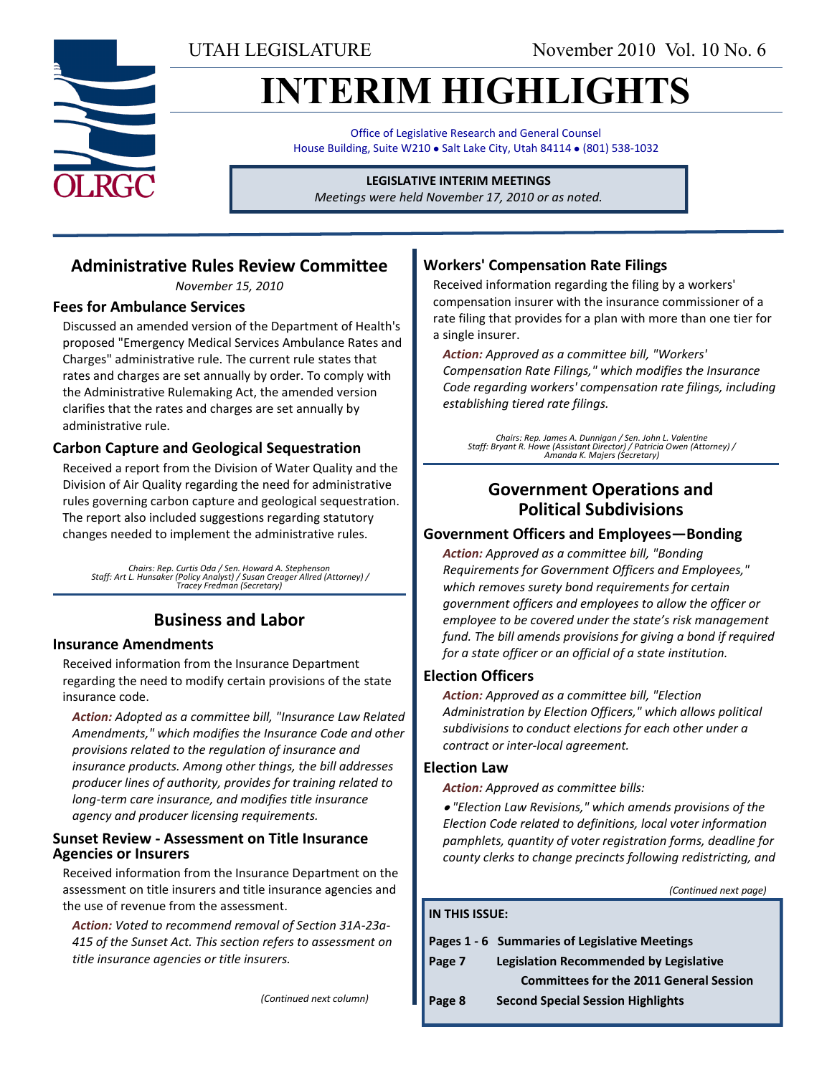UTAH LEGISLATURE November 2010 Vol. 10 No. 6

# **INTERIM HIGHLIGHTS**

Office of Legislative Research and General Counsel House Building, Suite W210 . Salt Lake City, Utah 84114 . (801) 538-1032

#### **LEGISLATIVE INTERIM MEETINGS**

*Meetings were held November 17, 2010 or as noted.*

## **Administrative Rules Review Committee**

*November 15, 2010*

#### **Fees for Ambulance Services**

Discussed an amended version of the Department of Health's proposed "Emergency Medical Services Ambulance Rates and Charges" administrative rule. The current rule states that rates and charges are set annually by order. To comply with the Administrative Rulemaking Act, the amended version clarifies that the rates and charges are set annually by administrative rule.

### **Carbon Capture and Geological Sequestration**

Received a report from the Division of Water Quality and the Division of Air Quality regarding the need for administrative rules governing carbon capture and geological sequestration. The report also included suggestions regarding statutory changes needed to implement the administrative rules.

*Chairs: Rep. Curtis Oda / Sen. Howard A. Stephenson Staff: Art L. Hunsaker (Policy Analyst) / Susan Creager Allred (Attorney) / Tracey Fredman (Secretary)*

## **Business and Labor**

#### **Insurance Amendments**

Received information from the Insurance Department regarding the need to modify certain provisions of the state insurance code.

*Action: Adopted as a committee bill, "Insurance Law Related Amendments," which modifies the Insurance Code and other provisions related to the regulation of insurance and insurance products. Among other things, the bill addresses producer lines of authority, provides for training related to long-term care insurance, and modifies title insurance agency and producer licensing requirements.*

#### **Sunset Review - Assessment on Title Insurance Agencies or Insurers**

Received information from the Insurance Department on the assessment on title insurers and title insurance agencies and the use of revenue from the assessment.

*Action: Voted to recommend removal of Section 31A-23a-415 of the Sunset Act. This section refers to assessment on title insurance agencies or title insurers.*

## **Workers' Compensation Rate Filings**

Received information regarding the filing by a workers' compensation insurer with the insurance commissioner of a rate filing that provides for a plan with more than one tier for a single insurer.

*Action: Approved as a committee bill, "Workers' Compensation Rate Filings," which modifies the Insurance Code regarding workers' compensation rate filings, including establishing tiered rate filings.*

*Chairs: Rep. James A. Dunnigan / Sen. John L. Valentine Staff: Bryant R. Howe (Assistant Director) / Patricia Owen (Attorney) / Amanda K. Majers (Secretary)*

## **Government Operations and Political Subdivisions**

#### **Government Officers and Employees—Bonding**

*Action: Approved as a committee bill, "Bonding Requirements for Government Officers and Employees," which removes surety bond requirements for certain government officers and employees to allow the officer or employee to be covered under the state's risk management fund. The bill amends provisions for giving a bond if required for a state officer or an official of a state institution.*

#### **Election Officers**

*Action: Approved as a committee bill, "Election Administration by Election Officers," which allows political subdivisions to conduct elections for each other under a contract or inter-local agreement.*

#### **Election Law**

*Action: Approved as committee bills:*

*"Election Law Revisions," which amends provisions of the Election Code related to definitions, local voter information pamphlets, quantity of voter registration forms, deadline for county clerks to change precincts following redistricting, and* 

*(Continued next page)*

## **IN THIS ISSUE: Pages 1 - 6 Summaries of Legislative Meetings Page 7 Legislation Recommended by Legislative**

 **Committees for the 2011 General Session Page 8 Second Special Session Highlights** 

*(Continued next column)*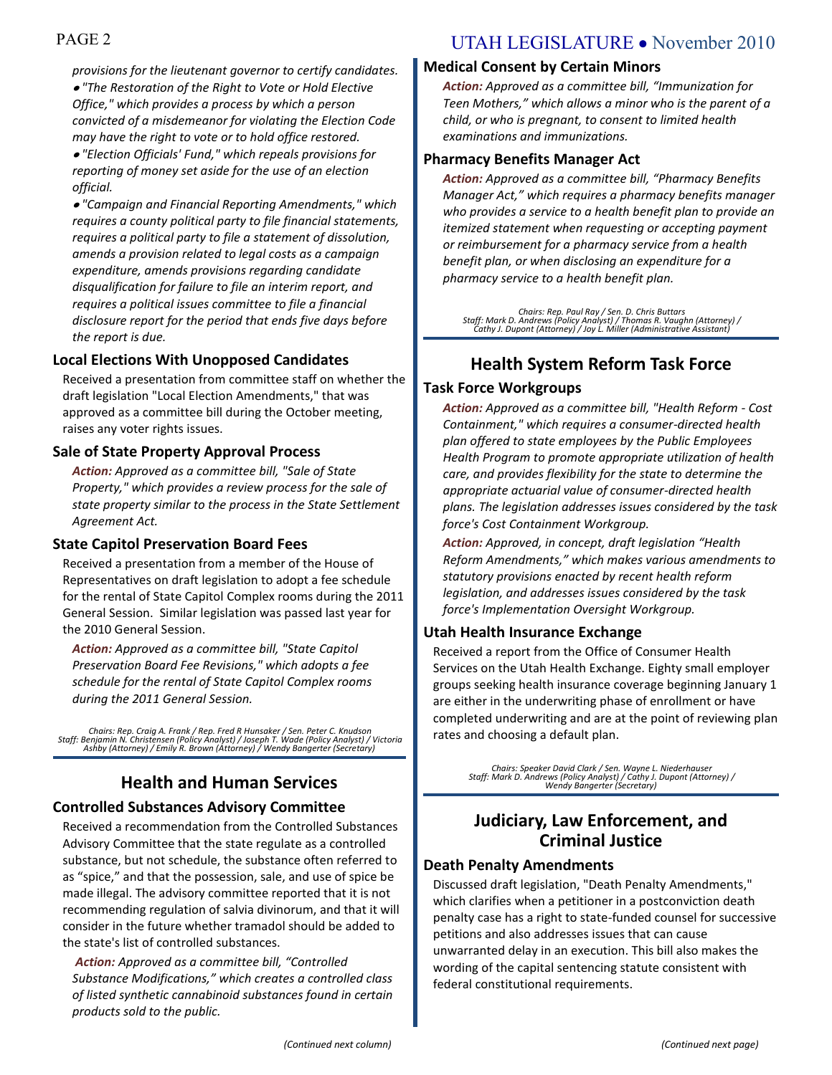*provisions for the lieutenant governor to certify candidates. "The Restoration of the Right to Vote or Hold Elective Office," which provides a process by which a person convicted of a misdemeanor for violating the Election Code may have the right to vote or to hold office restored.* 

*"Election Officials' Fund," which repeals provisions for reporting of money set aside for the use of an election official.*

*"Campaign and Financial Reporting Amendments," which requires a county political party to file financial statements, requires a political party to file a statement of dissolution, amends a provision related to legal costs as a campaign expenditure, amends provisions regarding candidate disqualification for failure to file an interim report, and requires a political issues committee to file a financial disclosure report for the period that ends five days before the report is due.*

#### **Local Elections With Unopposed Candidates**

Received a presentation from committee staff on whether the draft legislation "Local Election Amendments," that was approved as a committee bill during the October meeting, raises any voter rights issues.

#### **Sale of State Property Approval Process**

*Action: Approved as a committee bill, "Sale of State Property," which provides a review process for the sale of state property similar to the process in the State Settlement Agreement Act.*

#### **State Capitol Preservation Board Fees**

Received a presentation from a member of the House of Representatives on draft legislation to adopt a fee schedule for the rental of State Capitol Complex rooms during the 2011 General Session. Similar legislation was passed last year for the 2010 General Session.

*Action: Approved as a committee bill, "State Capitol Preservation Board Fee Revisions," which adopts a fee schedule for the rental of State Capitol Complex rooms during the 2011 General Session.*

*Chairs: Rep. Craig A. Frank / Rep. Fred R Hunsaker / Sen. Peter C. Knudson Staff: Benjamin N. Christensen (Policy Analyst) / Joseph T. Wade (Policy Analyst) / Victoria Ashby (Attorney) / Emily R. Brown (Attorney) / Wendy Bangerter (Secretary)*

## **Health and Human Services**

#### **Controlled Substances Advisory Committee**

Received a recommendation from the Controlled Substances Advisory Committee that the state regulate as a controlled substance, but not schedule, the substance often referred to as "spice," and that the possession, sale, and use of spice be made illegal. The advisory committee reported that it is not recommending regulation of salvia divinorum, and that it will consider in the future whether tramadol should be added to the state's list of controlled substances.

*Action: Approved as a committee bill, "Controlled Substance Modifications," which creates a controlled class of listed synthetic cannabinoid substances found in certain products sold to the public.* 

## PAGE 2 UTAH LEGISLATURE • November 2010

#### **Medical Consent by Certain Minors**

*Action: Approved as a committee bill, "Immunization for Teen Mothers," which allows a minor who is the parent of a child, or who is pregnant, to consent to limited health examinations and immunizations.*

#### **Pharmacy Benefits Manager Act**

*Action: Approved as a committee bill, "Pharmacy Benefits Manager Act," which requires a pharmacy benefits manager who provides a service to a health benefit plan to provide an itemized statement when requesting or accepting payment or reimbursement for a pharmacy service from a health benefit plan, or when disclosing an expenditure for a pharmacy service to a health benefit plan.*

*Chairs: Rep. Paul Ray / Sen. D. Chris Buttars Staff: Mark D. Andrews (Policy Analyst) / Thomas R. Vaughn (Attorney) / Cathy J. Dupont (Attorney) / Joy L. Miller (Administrative Assistant)*

## **Health System Reform Task Force**

#### **Task Force Workgroups**

*Action: Approved as a committee bill, "Health Reform - Cost Containment," which requires a consumer-directed health plan offered to state employees by the Public Employees Health Program to promote appropriate utilization of health care, and provides flexibility for the state to determine the appropriate actuarial value of consumer-directed health plans. The legislation addresses issues considered by the task force's Cost Containment Workgroup.*

*Action: Approved, in concept, draft legislation "Health Reform Amendments," which makes various amendments to statutory provisions enacted by recent health reform legislation, and addresses issues considered by the task force's Implementation Oversight Workgroup.*

#### **Utah Health Insurance Exchange**

Received a report from the Office of Consumer Health Services on the Utah Health Exchange. Eighty small employer groups seeking health insurance coverage beginning January 1 are either in the underwriting phase of enrollment or have completed underwriting and are at the point of reviewing plan rates and choosing a default plan.

> *Chairs: Speaker David Clark / Sen. Wayne L. Niederhauser Staff: Mark D. Andrews (Policy Analyst) / Cathy J. Dupont (Attorney) / Wendy Bangerter (Secretary)*

## **Judiciary, Law Enforcement, and Criminal Justice**

#### **Death Penalty Amendments**

Discussed draft legislation, "Death Penalty Amendments," which clarifies when a petitioner in a postconviction death penalty case has a right to state-funded counsel for successive petitions and also addresses issues that can cause unwarranted delay in an execution. This bill also makes the wording of the capital sentencing statute consistent with federal constitutional requirements.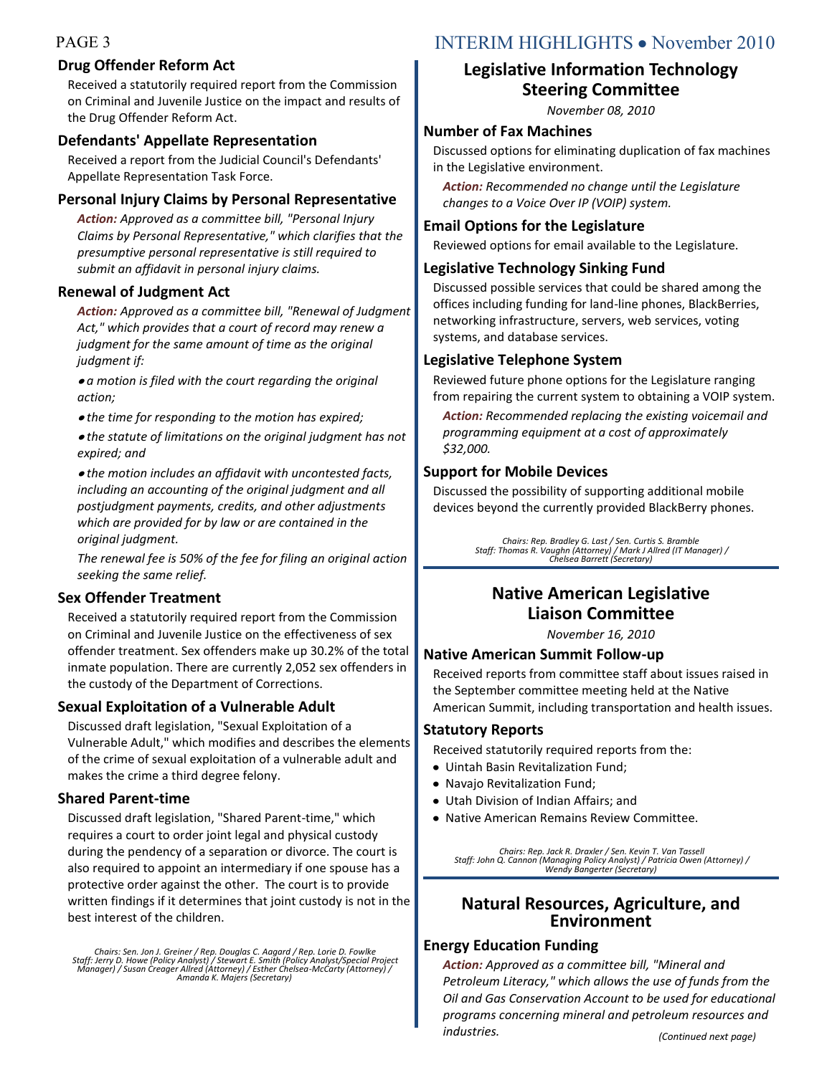#### **Drug Offender Reform Act**

Received a statutorily required report from the Commission on Criminal and Juvenile Justice on the impact and results of the Drug Offender Reform Act.

## **Defendants' Appellate Representation**

Received a report from the Judicial Council's Defendants' Appellate Representation Task Force.

## **Personal Injury Claims by Personal Representative**

*Action: Approved as a committee bill, "Personal Injury Claims by Personal Representative," which clarifies that the presumptive personal representative is still required to submit an affidavit in personal injury claims.* 

## **Renewal of Judgment Act**

*Action: Approved as a committee bill, "Renewal of Judgment Act," which provides that a court of record may renew a judgment for the same amount of time as the original judgment if:*

*a motion is filed with the court regarding the original action;*

*the time for responding to the motion has expired;*

*the statute of limitations on the original judgment has not expired; and* 

*the motion includes an affidavit with uncontested facts, including an accounting of the original judgment and all postjudgment payments, credits, and other adjustments which are provided for by law or are contained in the original judgment.* 

*The renewal fee is 50% of the fee for filing an original action seeking the same relief.*

## **Sex Offender Treatment**

Received a statutorily required report from the Commission on Criminal and Juvenile Justice on the effectiveness of sex offender treatment. Sex offenders make up 30.2% of the total inmate population. There are currently 2,052 sex offenders in the custody of the Department of Corrections.

## **Sexual Exploitation of a Vulnerable Adult**

Discussed draft legislation, "Sexual Exploitation of a Vulnerable Adult," which modifies and describes the elements of the crime of sexual exploitation of a vulnerable adult and makes the crime a third degree felony.

## **Shared Parent-time**

Discussed draft legislation, "Shared Parent-time," which requires a court to order joint legal and physical custody during the pendency of a separation or divorce. The court is also required to appoint an intermediary if one spouse has a protective order against the other. The court is to provide written findings if it determines that joint custody is not in the best interest of the children.

Chairs: Sen. Jon J. Greiner / Rep. Douglas C. Aagard / Rep. Lorie D. Fowlke<br>Staff: Jerry D. Howe (Policy Analyst) / Stewart E. Smith (Policy Analyst/Special Project<br>Manager) / Susan Creager Allred (Attorney) / Esther Chels

## PAGE 3 INTERIM HIGHLIGHTS • November 2010

## **Legislative Information Technology Steering Committee**

*November 08, 2010*

### **Number of Fax Machines**

Discussed options for eliminating duplication of fax machines in the Legislative environment.

*Action: Recommended no change until the Legislature changes to a Voice Over IP (VOIP) system.*

### **Email Options for the Legislature**

Reviewed options for email available to the Legislature.

### **Legislative Technology Sinking Fund**

Discussed possible services that could be shared among the offices including funding for land-line phones, BlackBerries, networking infrastructure, servers, web services, voting systems, and database services.

## **Legislative Telephone System**

Reviewed future phone options for the Legislature ranging from repairing the current system to obtaining a VOIP system.

*Action: Recommended replacing the existing voicemail and programming equipment at a cost of approximately \$32,000.*

## **Support for Mobile Devices**

Discussed the possibility of supporting additional mobile devices beyond the currently provided BlackBerry phones.

> *Chairs: Rep. Bradley G. Last / Sen. Curtis S. Bramble Staff: Thomas R. Vaughn (Attorney) / Mark J Allred (IT Manager) / Chelsea Barrett (Secretary)*

## **Native American Legislative Liaison Committee**

*November 16, 2010*

## **Native American Summit Follow-up**

Received reports from committee staff about issues raised in the September committee meeting held at the Native American Summit, including transportation and health issues.

## **Statutory Reports**

Received statutorily required reports from the:

- Uintah Basin Revitalization Fund;
- Navajo Revitalization Fund;
- Utah Division of Indian Affairs; and
- Native American Remains Review Committee.

*Chairs: Rep. Jack R. Draxler / Sen. Kevin T. Van Tassell Staff: John Q. Cannon (Managing Policy Analyst) / Patricia Owen (Attorney) / Wendy Bangerter (Secretary)*

## **Natural Resources, Agriculture, and Environment**

## **Energy Education Funding**

*Action: Approved as a committee bill, "Mineral and Petroleum Literacy," which allows the use of funds from the Oil and Gas Conservation Account to be used for educational programs concerning mineral and petroleum resources and industries. (Continued next page)*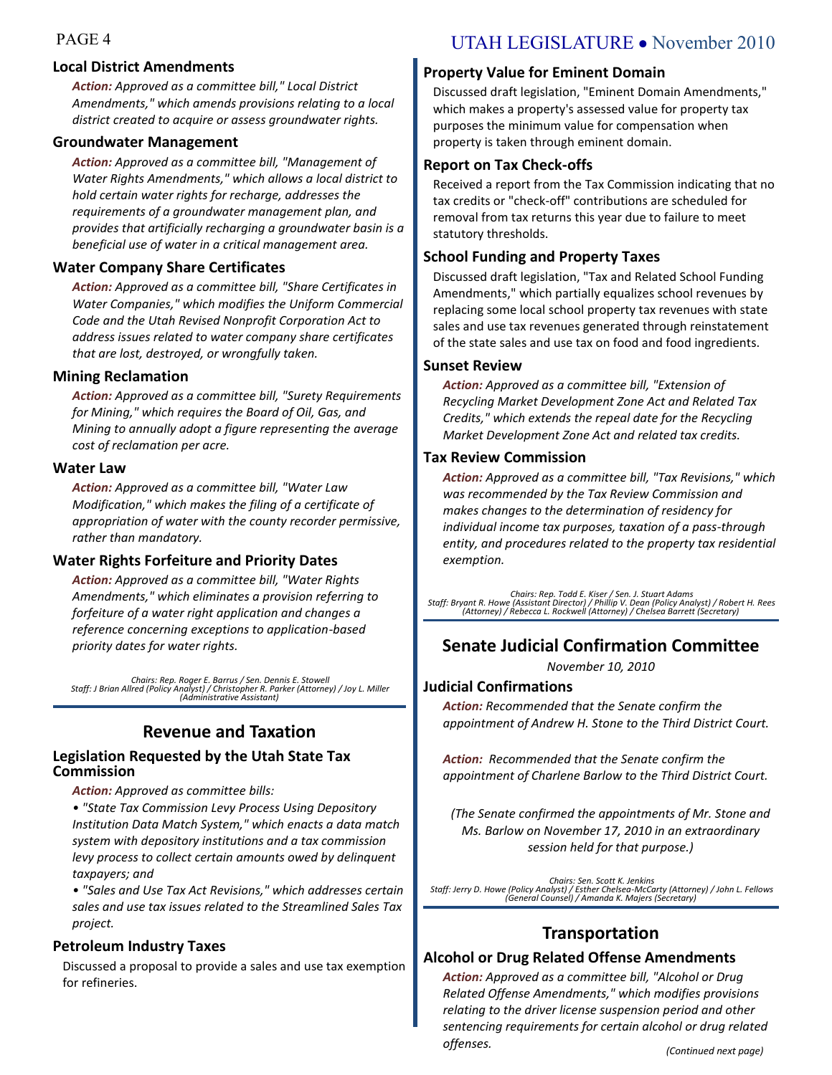#### **Local District Amendments**

*Action: Approved as a committee bill," Local District Amendments," which amends provisions relating to a local district created to acquire or assess groundwater rights.*

#### **Groundwater Management**

*Action: Approved as a committee bill, "Management of Water Rights Amendments," which allows a local district to hold certain water rights for recharge, addresses the requirements of a groundwater management plan, and provides that artificially recharging a groundwater basin is a beneficial use of water in a critical management area.*

#### **Water Company Share Certificates**

*Action: Approved as a committee bill, "Share Certificates in Water Companies," which modifies the Uniform Commercial Code and the Utah Revised Nonprofit Corporation Act to address issues related to water company share certificates that are lost, destroyed, or wrongfully taken.*

#### **Mining Reclamation**

*Action: Approved as a committee bill, "Surety Requirements for Mining," which requires the Board of Oil, Gas, and Mining to annually adopt a figure representing the average cost of reclamation per acre.*

#### **Water Law**

*Action: Approved as a committee bill, "Water Law Modification," which makes the filing of a certificate of appropriation of water with the county recorder permissive, rather than mandatory.*

#### **Water Rights Forfeiture and Priority Dates**

*Action: Approved as a committee bill, "Water Rights Amendments," which eliminates a provision referring to forfeiture of a water right application and changes a reference concerning exceptions to application-based priority dates for water rights.*

*Chairs: Rep. Roger E. Barrus / Sen. Dennis E. Stowell Staff: J Brian Allred (Policy Analyst) / Christopher R. Parker (Attorney) / Joy L. Miller (Administrative Assistant)*

## **Revenue and Taxation**

#### **Legislation Requested by the Utah State Tax Commission**

*Action: Approved as committee bills:*

*• "State Tax Commission Levy Process Using Depository Institution Data Match System," which enacts a data match system with depository institutions and a tax commission levy process to collect certain amounts owed by delinquent taxpayers; and*

*• "Sales and Use Tax Act Revisions," which addresses certain sales and use tax issues related to the Streamlined Sales Tax project.*

#### **Petroleum Industry Taxes**

Discussed a proposal to provide a sales and use tax exemption for refineries.

## PAGE 4 UTAH LEGISLATURE • November 2010

#### **Property Value for Eminent Domain**

Discussed draft legislation, "Eminent Domain Amendments," which makes a property's assessed value for property tax purposes the minimum value for compensation when property is taken through eminent domain.

#### **Report on Tax Check-offs**

Received a report from the Tax Commission indicating that no tax credits or "check-off" contributions are scheduled for removal from tax returns this year due to failure to meet statutory thresholds.

#### **School Funding and Property Taxes**

Discussed draft legislation, "Tax and Related School Funding Amendments," which partially equalizes school revenues by replacing some local school property tax revenues with state sales and use tax revenues generated through reinstatement of the state sales and use tax on food and food ingredients.

#### **Sunset Review**

*Action: Approved as a committee bill, "Extension of Recycling Market Development Zone Act and Related Tax Credits," which extends the repeal date for the Recycling Market Development Zone Act and related tax credits.*

#### **Tax Review Commission**

*Action: Approved as a committee bill, "Tax Revisions," which was recommended by the Tax Review Commission and makes changes to the determination of residency for individual income tax purposes, taxation of a pass-through entity, and procedures related to the property tax residential exemption.*

Chairs: Rep. Todd E. Kiser / Sen. J. Stuart Adams<br>Staff: Bryant R. Howe (Assistant Director) / Phillip V. Dean (Policy Analyst) / Robert H. Rees<br>(Attorney) / Rebecca L. Rockwell (Attorney) / Chelsea Barrett (Secretary)

## **Senate Judicial Confirmation Committee**

*November 10, 2010*

#### **Judicial Confirmations**

*Action: Recommended that the Senate confirm the appointment of Andrew H. Stone to the Third District Court.* 

*Action: Recommended that the Senate confirm the appointment of Charlene Barlow to the Third District Court.* 

*(The Senate confirmed the appointments of Mr. Stone and Ms. Barlow on November 17, 2010 in an extraordinary session held for that purpose.)*

*Chairs: Sen. Scott K. Jenkins Staff: Jerry D. Howe (Policy Analyst) / Esther Chelsea-McCarty (Attorney) / John L. Fellows (General Counsel) / Amanda K. Majers (Secretary)*

## **Transportation**

#### **Alcohol or Drug Related Offense Amendments**

*Action: Approved as a committee bill, "Alcohol or Drug Related Offense Amendments," which modifies provisions relating to the driver license suspension period and other sentencing requirements for certain alcohol or drug related offenses. (Continued next page)*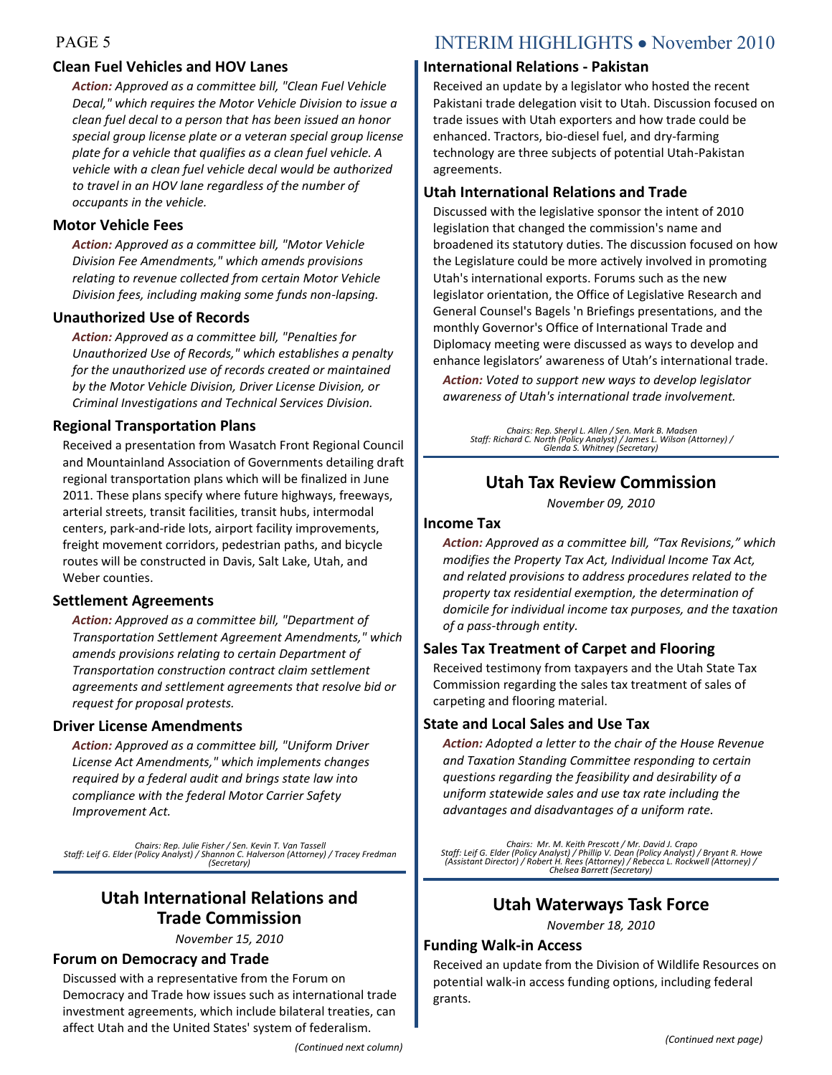## **Clean Fuel Vehicles and HOV Lanes**

*Action: Approved as a committee bill, "Clean Fuel Vehicle Decal," which requires the Motor Vehicle Division to issue a clean fuel decal to a person that has been issued an honor special group license plate or a veteran special group license plate for a vehicle that qualifies as a clean fuel vehicle. A vehicle with a clean fuel vehicle decal would be authorized to travel in an HOV lane regardless of the number of occupants in the vehicle.*

#### **Motor Vehicle Fees**

*Action: Approved as a committee bill, "Motor Vehicle Division Fee Amendments," which amends provisions relating to revenue collected from certain Motor Vehicle Division fees, including making some funds non-lapsing.*

#### **Unauthorized Use of Records**

*Action: Approved as a committee bill, "Penalties for Unauthorized Use of Records," which establishes a penalty for the unauthorized use of records created or maintained by the Motor Vehicle Division, Driver License Division, or Criminal Investigations and Technical Services Division.*

#### **Regional Transportation Plans**

Received a presentation from Wasatch Front Regional Council and Mountainland Association of Governments detailing draft regional transportation plans which will be finalized in June 2011. These plans specify where future highways, freeways, arterial streets, transit facilities, transit hubs, intermodal centers, park-and-ride lots, airport facility improvements, freight movement corridors, pedestrian paths, and bicycle routes will be constructed in Davis, Salt Lake, Utah, and Weber counties.

#### **Settlement Agreements**

*Action: Approved as a committee bill, "Department of Transportation Settlement Agreement Amendments," which amends provisions relating to certain Department of Transportation construction contract claim settlement agreements and settlement agreements that resolve bid or request for proposal protests.*

#### **Driver License Amendments**

*Action: Approved as a committee bill, "Uniform Driver License Act Amendments," which implements changes required by a federal audit and brings state law into compliance with the federal Motor Carrier Safety Improvement Act.*

*Chairs: Rep. Julie Fisher / Sen. Kevin T. Van Tassell Staff: Leif G. Elder (Policy Analyst) / Shannon C. Halverson (Attorney) / Tracey Fredman (Secretary)*

## **Utah International Relations and Trade Commission**

*November 15, 2010*

#### **Forum on Democracy and Trade**

Discussed with a representative from the Forum on Democracy and Trade how issues such as international trade investment agreements, which include bilateral treaties, can affect Utah and the United States' system of federalism.

## PAGE 5 INTERIM HIGHLIGHTS • November 2010

#### **International Relations - Pakistan**

Received an update by a legislator who hosted the recent Pakistani trade delegation visit to Utah. Discussion focused on trade issues with Utah exporters and how trade could be enhanced. Tractors, bio-diesel fuel, and dry-farming technology are three subjects of potential Utah-Pakistan agreements.

#### **Utah International Relations and Trade**

Discussed with the legislative sponsor the intent of 2010 legislation that changed the commission's name and broadened its statutory duties. The discussion focused on how the Legislature could be more actively involved in promoting Utah's international exports. Forums such as the new legislator orientation, the Office of Legislative Research and General Counsel's Bagels 'n Briefings presentations, and the monthly Governor's Office of International Trade and Diplomacy meeting were discussed as ways to develop and enhance legislators' awareness of Utah's international trade.

*Action: Voted to support new ways to develop legislator awareness of Utah's international trade involvement.*

*Chairs: Rep. Sheryl L. Allen / Sen. Mark B. Madsen Staff: Richard C. North (Policy Analyst) / James L. Wilson (Attorney) / Glenda S. Whitney (Secretary)*

## **Utah Tax Review Commission**

*November 09, 2010*

#### **Income Tax**

*Action: Approved as a committee bill, "Tax Revisions," which modifies the Property Tax Act, Individual Income Tax Act, and related provisions to address procedures related to the property tax residential exemption, the determination of domicile for individual income tax purposes, and the taxation of a pass-through entity.*

#### **Sales Tax Treatment of Carpet and Flooring**

Received testimony from taxpayers and the Utah State Tax Commission regarding the sales tax treatment of sales of carpeting and flooring material.

#### **State and Local Sales and Use Tax**

*Action: Adopted a letter to the chair of the House Revenue and Taxation Standing Committee responding to certain questions regarding the feasibility and desirability of a uniform statewide sales and use tax rate including the advantages and disadvantages of a uniform rate.*

*Chairs: Mr. M. Keith Prescott / Mr. David J. Crapo Staff: Leif G. Elder (Policy Analyst) / Phillip V. Dean (Policy Analyst) / Bryant R. Howe (Assistant Director) / Robert H. Rees (Attorney) / Rebecca L. Rockwell (Attorney) / Chelsea Barrett (Secretary)*

## **Utah Waterways Task Force**

*November 18, 2010*

#### **Funding Walk-in Access**

Received an update from the Division of Wildlife Resources on potential walk-in access funding options, including federal grants.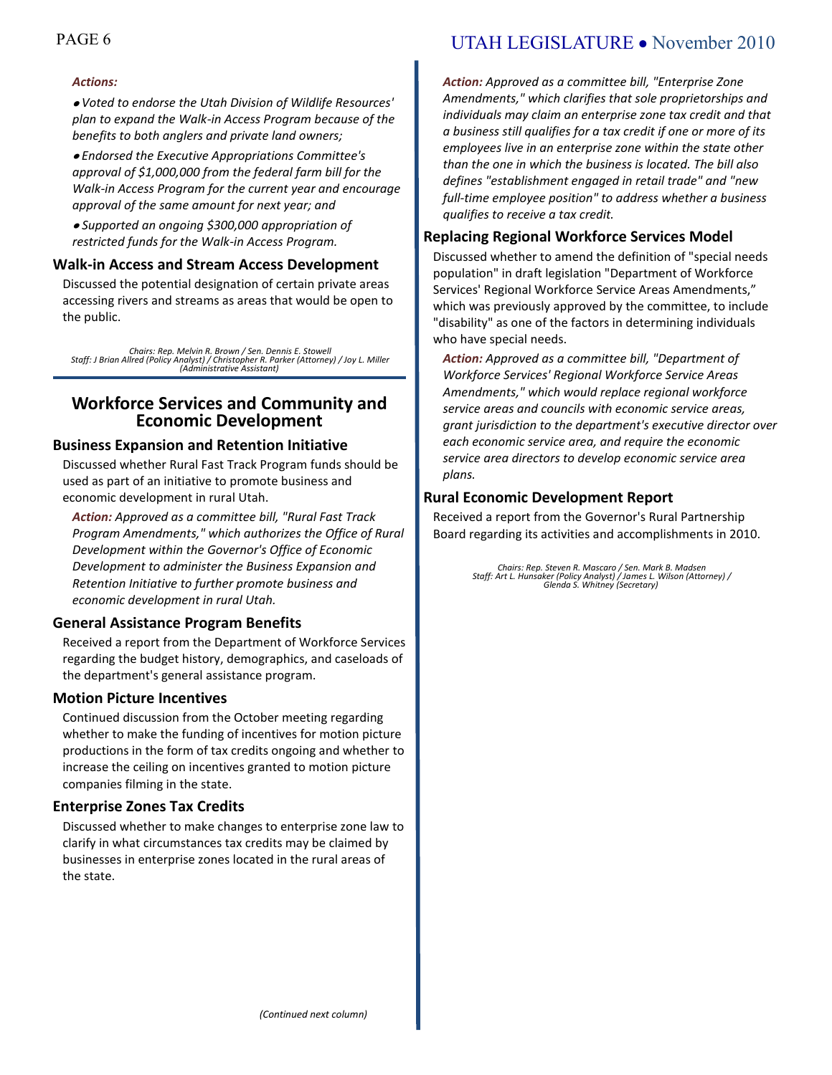#### *Actions:*

*Voted to endorse the Utah Division of Wildlife Resources' plan to expand the Walk-in Access Program because of the benefits to both anglers and private land owners;*

*Endorsed the Executive Appropriations Committee's approval of \$1,000,000 from the federal farm bill for the Walk-in Access Program for the current year and encourage approval of the same amount for next year; and*

*Supported an ongoing \$300,000 appropriation of restricted funds for the Walk-in Access Program.*

#### **Walk-in Access and Stream Access Development**

Discussed the potential designation of certain private areas accessing rivers and streams as areas that would be open to the public.

*Chairs: Rep. Melvin R. Brown / Sen. Dennis E. Stowell Staff: J Brian Allred (Policy Analyst) / Christopher R. Parker (Attorney) / Joy L. Miller (Administrative Assistant)*

### **Workforce Services and Community and Economic Development**

#### **Business Expansion and Retention Initiative**

Discussed whether Rural Fast Track Program funds should be used as part of an initiative to promote business and economic development in rural Utah.

*Action: Approved as a committee bill, "Rural Fast Track Program Amendments," which authorizes the Office of Rural Development within the Governor's Office of Economic Development to administer the Business Expansion and Retention Initiative to further promote business and economic development in rural Utah.*

#### **General Assistance Program Benefits**

Received a report from the Department of Workforce Services regarding the budget history, demographics, and caseloads of the department's general assistance program.

#### **Motion Picture Incentives**

Continued discussion from the October meeting regarding whether to make the funding of incentives for motion picture productions in the form of tax credits ongoing and whether to increase the ceiling on incentives granted to motion picture companies filming in the state.

#### **Enterprise Zones Tax Credits**

Discussed whether to make changes to enterprise zone law to clarify in what circumstances tax credits may be claimed by businesses in enterprise zones located in the rural areas of the state.

## PAGE 6 UTAH LEGISLATURE • November 2010

*Action: Approved as a committee bill, "Enterprise Zone Amendments," which clarifies that sole proprietorships and individuals may claim an enterprise zone tax credit and that a business still qualifies for a tax credit if one or more of its employees live in an enterprise zone within the state other than the one in which the business is located. The bill also defines "establishment engaged in retail trade" and "new full-time employee position" to address whether a business qualifies to receive a tax credit.*

#### **Replacing Regional Workforce Services Model**

Discussed whether to amend the definition of "special needs population" in draft legislation "Department of Workforce Services' Regional Workforce Service Areas Amendments," which was previously approved by the committee, to include "disability" as one of the factors in determining individuals who have special needs.

*Action: Approved as a committee bill, "Department of Workforce Services' Regional Workforce Service Areas Amendments," which would replace regional workforce service areas and councils with economic service areas, grant jurisdiction to the department's executive director over each economic service area, and require the economic service area directors to develop economic service area plans.*

#### **Rural Economic Development Report**

Received a report from the Governor's Rural Partnership Board regarding its activities and accomplishments in 2010.

*Chairs: Rep. Steven R. Mascaro / Sen. Mark B. Madsen Staff: Art L. Hunsaker (Policy Analyst) / James L. Wilson (Attorney) / Glenda S. Whitney (Secretary)*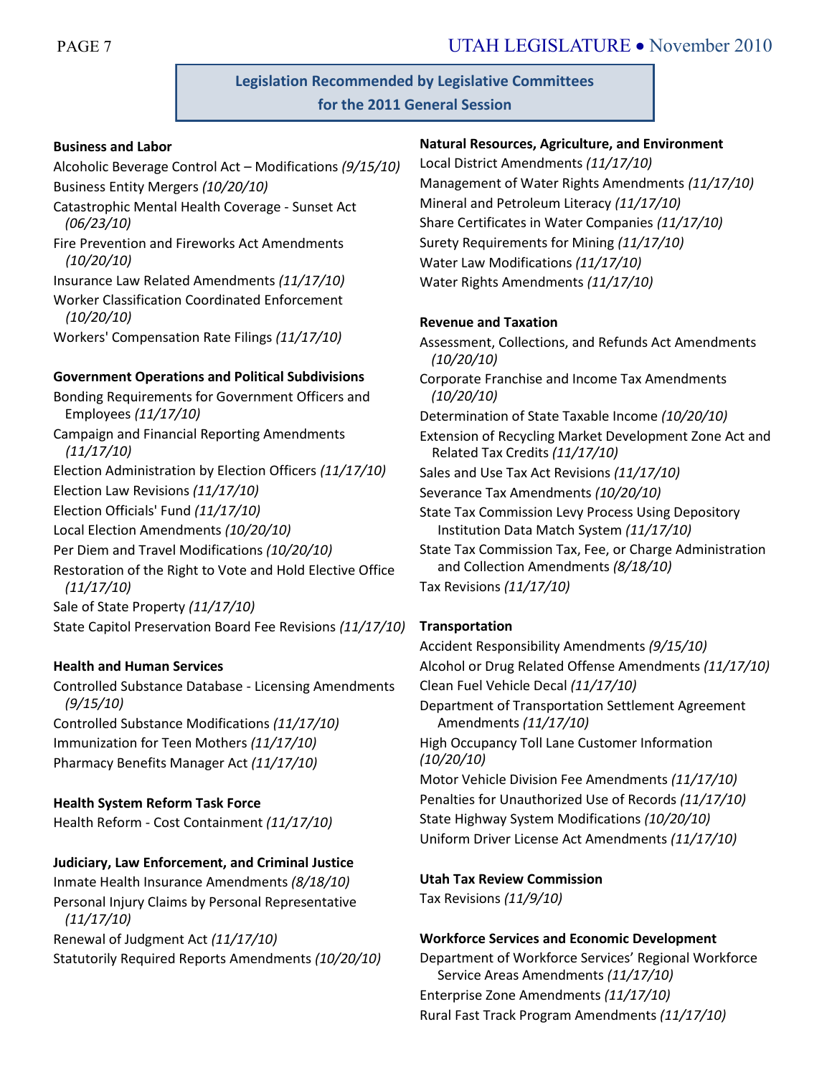**Legislation Recommended by Legislative Committees for the 2011 General Session**

#### **Business and Labor**

Alcoholic Beverage Control Act – Modifications *(9/15/10)* Business Entity Mergers *(10/20/10)*

- Catastrophic Mental Health Coverage Sunset Act *(06/23/10)*
- Fire Prevention and Fireworks Act Amendments *(10/20/10)*

Insurance Law Related Amendments *(11/17/10)*

Worker Classification Coordinated Enforcement *(10/20/10)*

Workers' Compensation Rate Filings *(11/17/10)*

### **Government Operations and Political Subdivisions**

Bonding Requirements for Government Officers and Employees *(11/17/10)* Campaign and Financial Reporting Amendments *(11/17/10)* Election Administration by Election Officers *(11/17/10)* Election Law Revisions *(11/17/10)* Election Officials' Fund *(11/17/10)* Local Election Amendments *(10/20/10)* Per Diem and Travel Modifications *(10/20/10)* Restoration of the Right to Vote and Hold Elective Office *(11/17/10)* Sale of State Property *(11/17/10)* State Capitol Preservation Board Fee Revisions *(11/17/10)*

#### **Health and Human Services**

Controlled Substance Database - Licensing Amendments *(9/15/10)* Controlled Substance Modifications *(11/17/10)* Immunization for Teen Mothers *(11/17/10)* Pharmacy Benefits Manager Act *(11/17/10)*

#### **Health System Reform Task Force**

Health Reform - Cost Containment *(11/17/10)*

#### **Judiciary, Law Enforcement, and Criminal Justice**

Inmate Health Insurance Amendments *(8/18/10)* Personal Injury Claims by Personal Representative *(11/17/10)*

Renewal of Judgment Act *(11/17/10)* Statutorily Required Reports Amendments *(10/20/10)*

#### **Natural Resources, Agriculture, and Environment**

Local District Amendments *(11/17/10)* Management of Water Rights Amendments *(11/17/10)* Mineral and Petroleum Literacy *(11/17/10)* Share Certificates in Water Companies *(11/17/10)* Surety Requirements for Mining *(11/17/10)* Water Law Modifications *(11/17/10)* Water Rights Amendments *(11/17/10)*

#### **Revenue and Taxation**

Assessment, Collections, and Refunds Act Amendments *(10/20/10)* Corporate Franchise and Income Tax Amendments *(10/20/10)* Determination of State Taxable Income *(10/20/10)* Extension of Recycling Market Development Zone Act and Related Tax Credits *(11/17/10)* Sales and Use Tax Act Revisions *(11/17/10)* Severance Tax Amendments *(10/20/10)* State Tax Commission Levy Process Using Depository Institution Data Match System *(11/17/10)* State Tax Commission Tax, Fee, or Charge Administration and Collection Amendments *(8/18/10)* Tax Revisions *(11/17/10)*

## **Transportation**

Accident Responsibility Amendments *(9/15/10)* Alcohol or Drug Related Offense Amendments *(11/17/10)* Clean Fuel Vehicle Decal *(11/17/10)* Department of Transportation Settlement Agreement Amendments *(11/17/10)* High Occupancy Toll Lane Customer Information *(10/20/10)* Motor Vehicle Division Fee Amendments *(11/17/10)* Penalties for Unauthorized Use of Records *(11/17/10)* State Highway System Modifications *(10/20/10)* Uniform Driver License Act Amendments *(11/17/10)*

## **Utah Tax Review Commission**

Tax Revisions *(11/9/10)*

#### **Workforce Services and Economic Development**

Department of Workforce Services' Regional Workforce Service Areas Amendments *(11/17/10)* Enterprise Zone Amendments *(11/17/10)* Rural Fast Track Program Amendments *(11/17/10)*